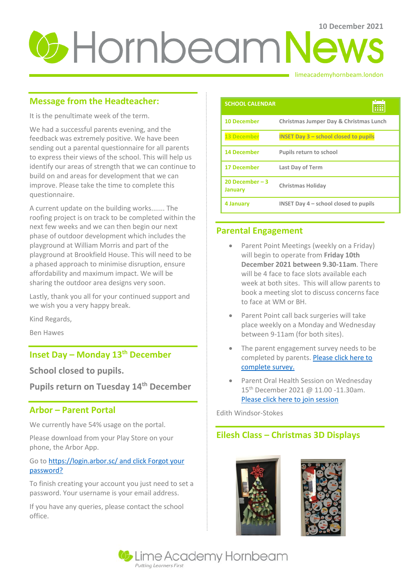# **U** Hornbeam News

### limeacademyhornbeam.london

# **Message from the Headteacher:**

It is the penultimate week of the term.

We had a successful parents evening, and the feedback was extremely positive. We have been sending out a parental questionnaire for all parents to express their views of the school. This will help us identify our areas of strength that we can continue to build on and areas for development that we can improve. Please take the time to complete this questionnaire.

A current update on the building works....... The roofing project is on track to be completed within the next few weeks and we can then begin our next phase of outdoor development which includes the playground at William Morris and part of the playground at Brookfield House. This will need to be a phased approach to minimise disruption, ensure affordability and maximum impact. We will be sharing the outdoor area designs very soon.

Lastly, thank you all for your continued support and we wish you a very happy break.

Kind Regards,

Ben Hawes

# **Inset Day – Monday 13th December**

**School closed to pupils.** 

**Pupils return on Tuesday 14th December** 

# **Arbor – Parent Portal**

We currently have 54% usage on the portal.

Please download from your Play Store on your phone, the Arbor App.

## Go t[o https://login.arbor.sc/ and click Forgot your](https://login.arbor.sc/%20and%20click%20Forgot%20your%20password?)  [password?](https://login.arbor.sc/%20and%20click%20Forgot%20your%20password?)

To finish creating your account you just need to set a password. Your username is your email address.

If you have any queries, please contact the school office.

| <b>SCHOOL CALENDAR</b>             |                                                           |
|------------------------------------|-----------------------------------------------------------|
| <b>10 December</b>                 | Christmas Jumper Day & Christmas Lunch                    |
| <b>13 December</b>                 | <b>INSET Day <math>3</math> – school closed to pupils</b> |
| <b>14 December</b>                 | <b>Pupils return to school</b>                            |
| <b>17 December</b>                 | <b>Last Day of Term</b>                                   |
| 20 December $-3$<br><b>January</b> | Christmas Holiday                                         |
| 4 January                          | INSET Day $4$ – school closed to pupils                   |

# **Parental Engagement**

- Parent Point Meetings (weekly on a Friday) will begin to operate from **Friday 10th December 2021 between 9.30-11am**. There will be 4 face to face slots available each week at both sites. This will allow parents to book a meeting slot to discuss concerns face to face at WM or BH.
- Parent Point call back surgeries will take place weekly on a Monday and Wednesday between 9-11am (for both sites).
- The parent engagement survey needs to be completed by parents. Please click here to [complete survey.](https://forms.office.com/r/JJ7tgWXWWT)
- Parent Oral Health Session on Wednesday 15<sup>th</sup> December 2021 @ 11.00 -11.30am. [Please click here to join session](https://teams.microsoft.com/l/meetup-join/19%3ameeting_N2NiMWNkYTUtMjM5OS00NTgwLTk0ZTYtMzlmNjQyNzk1Y2Zh%40thread.v2/0?context=%7b%22Tid%22%3a%2237c354b2-85b0-47f5-b222-07b48d774ee3%22%2c%22Oid%22%3a%220bd1b30a-3321-4d83-9329-2ee007b21392%22%7d)

Edith Windsor-Stokes

# **Eilesh Class – Christmas 3D Displays**